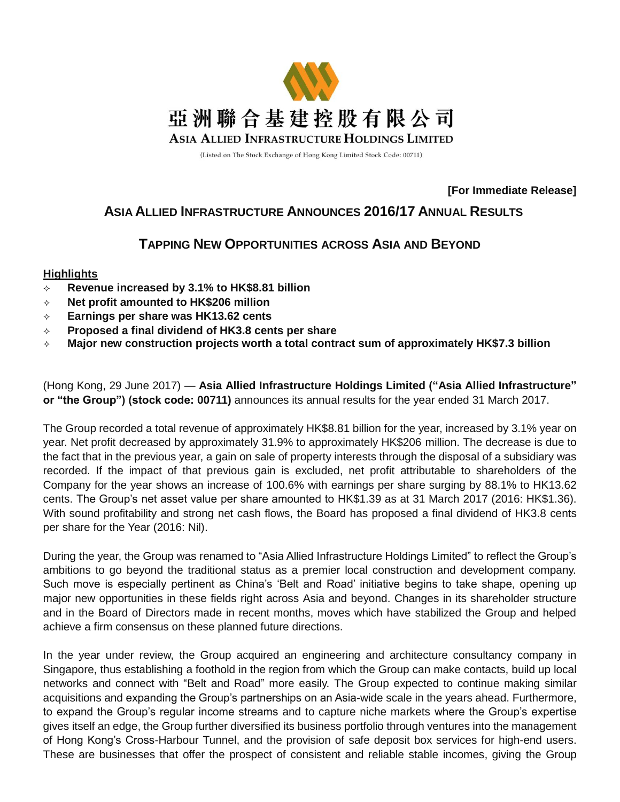

(Listed on The Stock Exchange of Hong Kong Limited Stock Code: 00711)

## **[For Immediate Release]**

# **ASIA ALLIED INFRASTRUCTURE ANNOUNCES 2016/17 ANNUAL RESULTS**

# **TAPPING NEW OPPORTUNITIES ACROSS ASIA AND BEYOND**

# **Highlights**

- **Revenue increased by 3.1% to HK\$8.81 billion**
- **Net profit amounted to HK\$206 million**
- **Earnings per share was HK13.62 cents**
- **Proposed a final dividend of HK3.8 cents per share**
- **Major new construction projects worth a total contract sum of approximately HK\$7.3 billion**

(Hong Kong, 29 June 2017) — **Asia Allied Infrastructure Holdings Limited ("Asia Allied Infrastructure" or "the Group") (stock code: 00711)** announces its annual results for the year ended 31 March 2017.

The Group recorded a total revenue of approximately HK\$8.81 billion for the year, increased by 3.1% year on year. Net profit decreased by approximately 31.9% to approximately HK\$206 million. The decrease is due to the fact that in the previous year, a gain on sale of property interests through the disposal of a subsidiary was recorded. If the impact of that previous gain is excluded, net profit attributable to shareholders of the Company for the year shows an increase of 100.6% with earnings per share surging by 88.1% to HK13.62 cents. The Group's net asset value per share amounted to HK\$1.39 as at 31 March 2017 (2016: HK\$1.36). With sound profitability and strong net cash flows, the Board has proposed a final dividend of HK3.8 cents per share for the Year (2016: Nil).

During the year, the Group was renamed to "Asia Allied Infrastructure Holdings Limited" to reflect the Group's ambitions to go beyond the traditional status as a premier local construction and development company. Such move is especially pertinent as China's 'Belt and Road' initiative begins to take shape, opening up major new opportunities in these fields right across Asia and beyond. Changes in its shareholder structure and in the Board of Directors made in recent months, moves which have stabilized the Group and helped achieve a firm consensus on these planned future directions.

In the year under review, the Group acquired an engineering and architecture consultancy company in Singapore, thus establishing a foothold in the region from which the Group can make contacts, build up local networks and connect with "Belt and Road" more easily. The Group expected to continue making similar acquisitions and expanding the Group's partnerships on an Asia-wide scale in the years ahead. Furthermore, to expand the Group's regular income streams and to capture niche markets where the Group's expertise gives itself an edge, the Group further diversified its business portfolio through ventures into the management of Hong Kong's Cross-Harbour Tunnel, and the provision of safe deposit box services for high-end users. These are businesses that offer the prospect of consistent and reliable stable incomes, giving the Group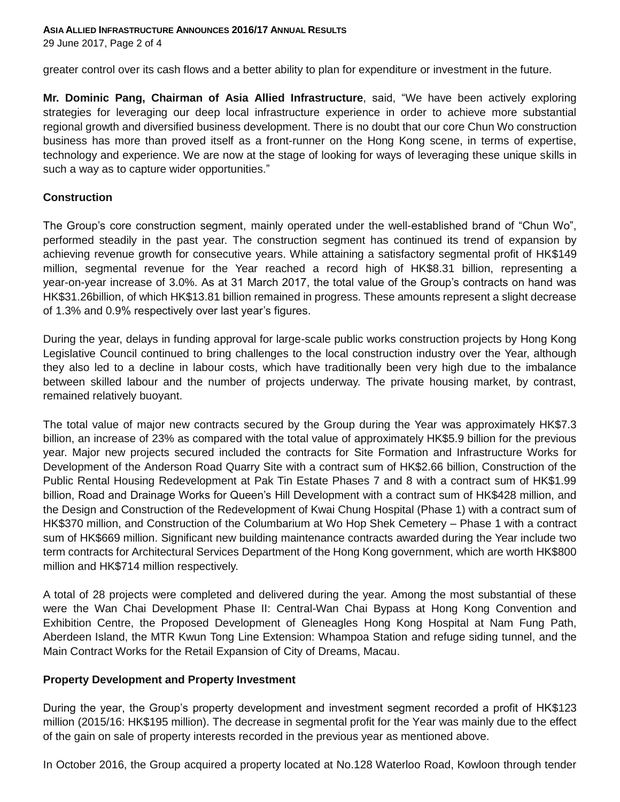**ASIA ALLIED INFRASTRUCTURE ANNOUNCES 2016/17 ANNUAL RESULTS**

29 June 2017, Page 2 of 4

greater control over its cash flows and a better ability to plan for expenditure or investment in the future.

**Mr. Dominic Pang, Chairman of Asia Allied Infrastructure**, said, "We have been actively exploring strategies for leveraging our deep local infrastructure experience in order to achieve more substantial regional growth and diversified business development. There is no doubt that our core Chun Wo construction business has more than proved itself as a front-runner on the Hong Kong scene, in terms of expertise, technology and experience. We are now at the stage of looking for ways of leveraging these unique skills in such a way as to capture wider opportunities."

## **Construction**

The Group's core construction segment, mainly operated under the well-established brand of "Chun Wo", performed steadily in the past year. The construction segment has continued its trend of expansion by achieving revenue growth for consecutive years. While attaining a satisfactory segmental profit of HK\$149 million, segmental revenue for the Year reached a record high of HK\$8.31 billion, representing a year-on-year increase of 3.0%. As at 31 March 2017, the total value of the Group's contracts on hand was HK\$31.26billion, of which HK\$13.81 billion remained in progress. These amounts represent a slight decrease of 1.3% and 0.9% respectively over last year's figures.

During the year, delays in funding approval for large-scale public works construction projects by Hong Kong Legislative Council continued to bring challenges to the local construction industry over the Year, although they also led to a decline in labour costs, which have traditionally been very high due to the imbalance between skilled labour and the number of projects underway. The private housing market, by contrast, remained relatively buoyant.

The total value of major new contracts secured by the Group during the Year was approximately HK\$7.3 billion, an increase of 23% as compared with the total value of approximately HK\$5.9 billion for the previous year. Major new projects secured included the contracts for Site Formation and Infrastructure Works for Development of the Anderson Road Quarry Site with a contract sum of HK\$2.66 billion, Construction of the Public Rental Housing Redevelopment at Pak Tin Estate Phases 7 and 8 with a contract sum of HK\$1.99 billion, Road and Drainage Works for Queen's Hill Development with a contract sum of HK\$428 million, and the Design and Construction of the Redevelopment of Kwai Chung Hospital (Phase 1) with a contract sum of HK\$370 million, and Construction of the Columbarium at Wo Hop Shek Cemetery – Phase 1 with a contract sum of HK\$669 million. Significant new building maintenance contracts awarded during the Year include two term contracts for Architectural Services Department of the Hong Kong government, which are worth HK\$800 million and HK\$714 million respectively.

A total of 28 projects were completed and delivered during the year. Among the most substantial of these were the Wan Chai Development Phase II: Central-Wan Chai Bypass at Hong Kong Convention and Exhibition Centre, the Proposed Development of Gleneagles Hong Kong Hospital at Nam Fung Path, Aberdeen Island, the MTR Kwun Tong Line Extension: Whampoa Station and refuge siding tunnel, and the Main Contract Works for the Retail Expansion of City of Dreams, Macau.

## **Property Development and Property Investment**

During the year, the Group's property development and investment segment recorded a profit of HK\$123 million (2015/16: HK\$195 million). The decrease in segmental profit for the Year was mainly due to the effect of the gain on sale of property interests recorded in the previous year as mentioned above.

In October 2016, the Group acquired a property located at No.128 Waterloo Road, Kowloon through tender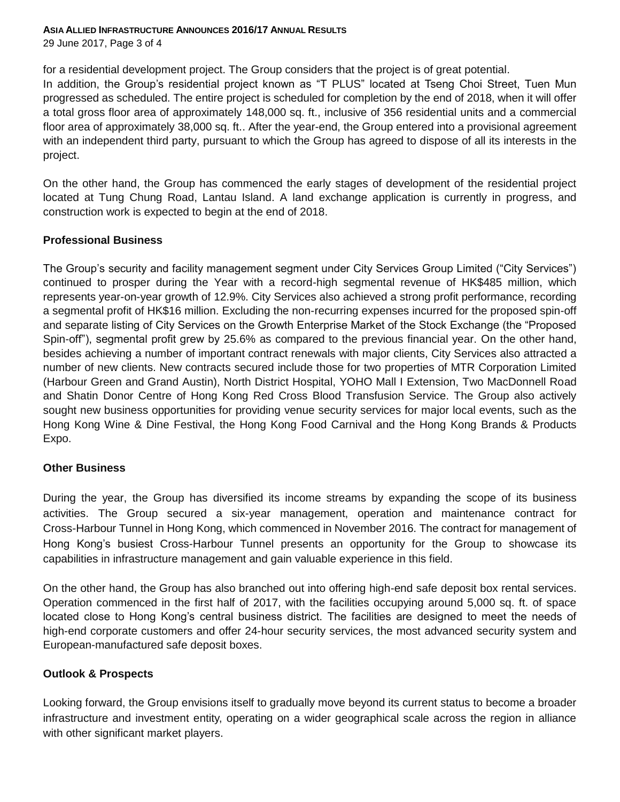### **ASIA ALLIED INFRASTRUCTURE ANNOUNCES 2016/17 ANNUAL RESULTS**

29 June 2017, Page 3 of 4

for a residential development project. The Group considers that the project is of great potential.

In addition, the Group's residential project known as "T PLUS" located at Tseng Choi Street, Tuen Mun progressed as scheduled. The entire project is scheduled for completion by the end of 2018, when it will offer a total gross floor area of approximately 148,000 sq. ft., inclusive of 356 residential units and a commercial floor area of approximately 38,000 sq. ft.. After the year-end, the Group entered into a provisional agreement with an independent third party, pursuant to which the Group has agreed to dispose of all its interests in the project.

On the other hand, the Group has commenced the early stages of development of the residential project located at Tung Chung Road, Lantau Island. A land exchange application is currently in progress, and construction work is expected to begin at the end of 2018.

## **Professional Business**

The Group's security and facility management segment under City Services Group Limited ("City Services") continued to prosper during the Year with a record-high segmental revenue of HK\$485 million, which represents year-on-year growth of 12.9%. City Services also achieved a strong profit performance, recording a segmental profit of HK\$16 million. Excluding the non-recurring expenses incurred for the proposed spin-off and separate listing of City Services on the Growth Enterprise Market of the Stock Exchange (the "Proposed Spin-off"), segmental profit grew by 25.6% as compared to the previous financial year. On the other hand, besides achieving a number of important contract renewals with major clients, City Services also attracted a number of new clients. New contracts secured include those for two properties of MTR Corporation Limited (Harbour Green and Grand Austin), North District Hospital, YOHO Mall I Extension, Two MacDonnell Road and Shatin Donor Centre of Hong Kong Red Cross Blood Transfusion Service. The Group also actively sought new business opportunities for providing venue security services for major local events, such as the Hong Kong Wine & Dine Festival, the Hong Kong Food Carnival and the Hong Kong Brands & Products Expo.

## **Other Business**

During the year, the Group has diversified its income streams by expanding the scope of its business activities. The Group secured a six-year management, operation and maintenance contract for Cross-Harbour Tunnel in Hong Kong, which commenced in November 2016. The contract for management of Hong Kong's busiest Cross-Harbour Tunnel presents an opportunity for the Group to showcase its capabilities in infrastructure management and gain valuable experience in this field.

On the other hand, the Group has also branched out into offering high-end safe deposit box rental services. Operation commenced in the first half of 2017, with the facilities occupying around 5,000 sq. ft. of space located close to Hong Kong's central business district. The facilities are designed to meet the needs of high-end corporate customers and offer 24-hour security services, the most advanced security system and European-manufactured safe deposit boxes.

## **Outlook & Prospects**

Looking forward, the Group envisions itself to gradually move beyond its current status to become a broader infrastructure and investment entity, operating on a wider geographical scale across the region in alliance with other significant market players.